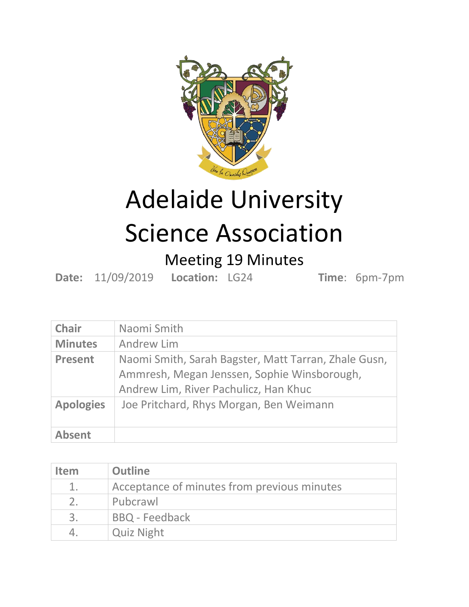

## Adelaide University Science Association

## Meeting 19 Minutes

**Date:** 11/09/2019 **Location:** LG24 **Time**: 6pm-7pm

| <b>Chair</b>     | Naomi Smith                                                                                                                                  |
|------------------|----------------------------------------------------------------------------------------------------------------------------------------------|
| <b>Minutes</b>   | Andrew Lim                                                                                                                                   |
| <b>Present</b>   | Naomi Smith, Sarah Bagster, Matt Tarran, Zhale Gusn,<br>Ammresh, Megan Jenssen, Sophie Winsborough,<br>Andrew Lim, River Pachulicz, Han Khuc |
| <b>Apologies</b> | Joe Pritchard, Rhys Morgan, Ben Weimann                                                                                                      |
| <b>Absent</b>    |                                                                                                                                              |

| <b>Item</b>    | <b>Outline</b>                              |
|----------------|---------------------------------------------|
| 1.             | Acceptance of minutes from previous minutes |
| 2 <sub>1</sub> | Pubcrawl                                    |
| 3.             | <b>BBQ</b> - Feedback                       |
|                | <b>Quiz Night</b>                           |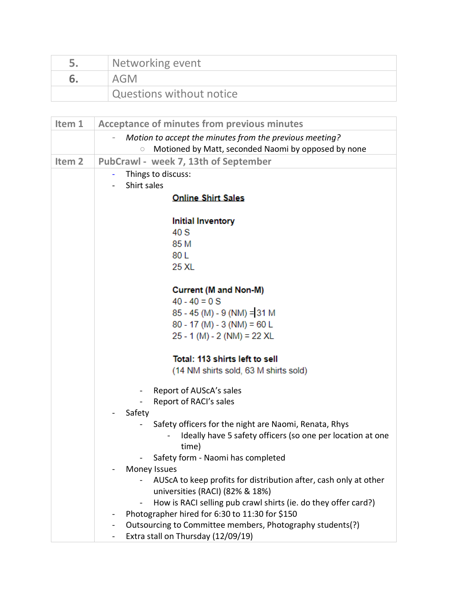| Networking event         |
|--------------------------|
| AGM                      |
| Questions without notice |

| Item 1            | <b>Acceptance of minutes from previous minutes</b>                               |
|-------------------|----------------------------------------------------------------------------------|
|                   | Motion to accept the minutes from the previous meeting?                          |
|                   | Motioned by Matt, seconded Naomi by opposed by none<br>$\circ$                   |
| Item <sub>2</sub> | PubCrawl - week 7, 13th of September                                             |
|                   | Things to discuss:                                                               |
|                   | Shirt sales                                                                      |
|                   | <b>Online Shirt Sales</b>                                                        |
|                   | <b>Initial Inventory</b>                                                         |
|                   | 40 S                                                                             |
|                   | 85 M                                                                             |
|                   | 80 L                                                                             |
|                   | 25 XL                                                                            |
|                   | <b>Current (M and Non-M)</b>                                                     |
|                   | $40 - 40 = 0$ S                                                                  |
|                   | $85 - 45$ (M) - 9 (NM) = 31 M                                                    |
|                   | $80 - 17$ (M) - 3 (NM) = 60 L                                                    |
|                   | $25 - 1$ (M) - 2 (NM) = 22 XL                                                    |
|                   | Total: 113 shirts left to sell                                                   |
|                   | (14 NM shirts sold, 63 M shirts sold)                                            |
|                   | Report of AUScA's sales<br>$\sim$                                                |
|                   | Report of RACI's sales                                                           |
|                   | Safety                                                                           |
|                   | Safety officers for the night are Naomi, Renata, Rhys                            |
|                   | Ideally have 5 safety officers (so one per location at one                       |
|                   | time)                                                                            |
|                   | Safety form - Naomi has completed<br>Money Issues                                |
|                   | AUSCA to keep profits for distribution after, cash only at other                 |
|                   | universities (RACI) (82% & 18%)                                                  |
|                   | How is RACI selling pub crawl shirts (ie. do they offer card?)<br>$\blacksquare$ |
|                   | Photographer hired for 6:30 to 11:30 for \$150<br>$\overline{\phantom{a}}$       |
|                   | Outsourcing to Committee members, Photography students(?)                        |
|                   | Extra stall on Thursday (12/09/19)                                               |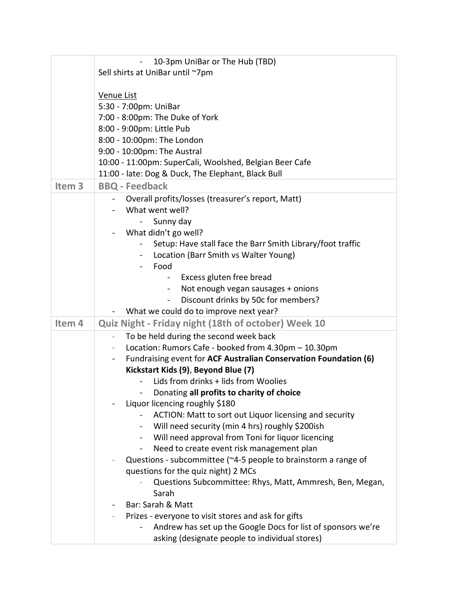|                   | 10-3pm UniBar or The Hub (TBD)<br>$\blacksquare$                                   |
|-------------------|------------------------------------------------------------------------------------|
|                   | Sell shirts at UniBar until ~7pm                                                   |
|                   |                                                                                    |
|                   | Venue List                                                                         |
|                   | 5:30 - 7:00pm: UniBar                                                              |
|                   | 7:00 - 8:00pm: The Duke of York                                                    |
|                   | 8:00 - 9:00pm: Little Pub                                                          |
|                   | 8:00 - 10:00pm: The London                                                         |
|                   | 9:00 - 10:00pm: The Austral                                                        |
|                   | 10:00 - 11:00pm: SuperCali, Woolshed, Belgian Beer Cafe                            |
|                   | 11:00 - late: Dog & Duck, The Elephant, Black Bull                                 |
| Item <sub>3</sub> | <b>BBQ - Feedback</b>                                                              |
|                   | Overall profits/losses (treasurer's report, Matt)                                  |
|                   | What went well?                                                                    |
|                   | Sunny day                                                                          |
|                   | What didn't go well?                                                               |
|                   | Setup: Have stall face the Barr Smith Library/foot traffic                         |
|                   | Location (Barr Smith vs Walter Young)<br>$\sim$                                    |
|                   | Food<br>$\blacksquare$                                                             |
|                   | Excess gluten free bread<br>$\overline{\phantom{a}}$                               |
|                   | Not enough vegan sausages + onions                                                 |
|                   | Discount drinks by 50c for members?<br>$\overline{\phantom{0}}$                    |
|                   | What we could do to improve next year?                                             |
| Item <sub>4</sub> | Quiz Night - Friday night (18th of october) Week 10                                |
|                   | To be held during the second week back<br>$\overline{\phantom{a}}$                 |
|                   | Location: Rumors Cafe - booked from 4.30pm - 10.30pm                               |
|                   | Fundraising event for ACF Australian Conservation Foundation (6)<br>$\blacksquare$ |
|                   | Kickstart Kids (9), Beyond Blue (7)                                                |
|                   | Lids from drinks + lids from Woolies                                               |
|                   | Donating all profits to charity of choice<br>$\blacksquare$                        |
|                   | Liquor licencing roughly \$180                                                     |
|                   | ACTION: Matt to sort out Liquor licensing and security                             |
|                   | Will need security (min 4 hrs) roughly \$200ish                                    |
|                   | Will need approval from Toni for liquor licencing<br>$\sim$                        |
|                   | Need to create event risk management plan<br>$\blacksquare$                        |
|                   | Questions - subcommittee (~4-5 people to brainstorm a range of                     |
|                   | questions for the quiz night) 2 MCs                                                |
|                   | Questions Subcommittee: Rhys, Matt, Ammresh, Ben, Megan,                           |
|                   | Sarah                                                                              |
|                   | Bar: Sarah & Matt                                                                  |
|                   | Prizes - everyone to visit stores and ask for gifts                                |
|                   | Andrew has set up the Google Docs for list of sponsors we're                       |
|                   | asking (designate people to individual stores)                                     |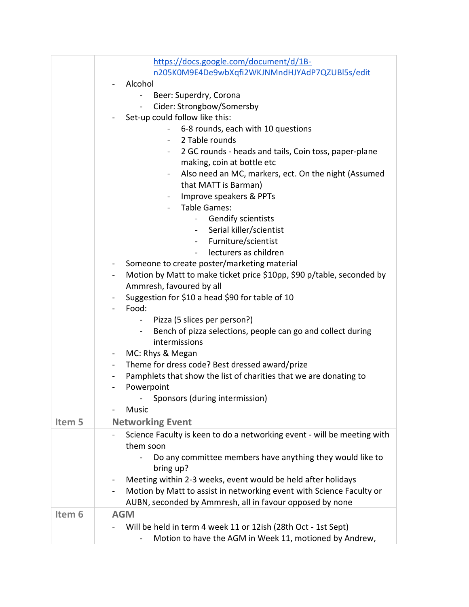|                   | https://docs.google.com/document/d/1B-                                                           |
|-------------------|--------------------------------------------------------------------------------------------------|
|                   | n205K0M9E4De9wbXqfi2WKJNMndHJYAdP7QZUBl5s/edit                                                   |
|                   | Alcohol                                                                                          |
|                   | Beer: Superdry, Corona                                                                           |
|                   | Cider: Strongbow/Somersby<br>$\bullet$ .                                                         |
|                   | Set-up could follow like this:                                                                   |
|                   | 6-8 rounds, each with 10 questions                                                               |
|                   | 2 Table rounds                                                                                   |
|                   | 2 GC rounds - heads and tails, Coin toss, paper-plane<br>$-$                                     |
|                   | making, coin at bottle etc                                                                       |
|                   | Also need an MC, markers, ect. On the night (Assumed                                             |
|                   | that MATT is Barman)                                                                             |
|                   | Improve speakers & PPTs                                                                          |
|                   | <b>Table Games:</b>                                                                              |
|                   | <b>Gendify scientists</b>                                                                        |
|                   | Serial killer/scientist<br>$\sim$                                                                |
|                   | Furniture/scientist                                                                              |
|                   | lecturers as children<br>$\blacksquare$                                                          |
|                   | Someone to create poster/marketing material<br>$\blacksquare$                                    |
|                   | Motion by Matt to make ticket price \$10pp, \$90 p/table, seconded by<br>$\blacksquare$          |
|                   | Ammresh, favoured by all                                                                         |
|                   | Suggestion for \$10 a head \$90 for table of 10                                                  |
|                   | Food:                                                                                            |
|                   | Pizza (5 slices per person?)<br>$\frac{1}{2}$                                                    |
|                   | Bench of pizza selections, people can go and collect during<br>$\sim$                            |
|                   | intermissions                                                                                    |
|                   | MC: Rhys & Megan<br>$\blacksquare$                                                               |
|                   | Theme for dress code? Best dressed award/prize                                                   |
|                   | Pamphlets that show the list of charities that we are donating to<br>$\blacksquare$              |
|                   | Powerpoint                                                                                       |
|                   | Sponsors (during intermission)                                                                   |
|                   | Music                                                                                            |
| Item 5            | <b>Networking Event</b>                                                                          |
|                   | Science Faculty is keen to do a networking event - will be meeting with                          |
|                   | them soon                                                                                        |
|                   | Do any committee members have anything they would like to<br>bring up?                           |
|                   | Meeting within 2-3 weeks, event would be held after holidays                                     |
|                   | Motion by Matt to assist in networking event with Science Faculty or<br>$\overline{\phantom{0}}$ |
|                   | AUBN, seconded by Ammresh, all in favour opposed by none                                         |
| Item <sub>6</sub> | <b>AGM</b>                                                                                       |
|                   |                                                                                                  |
|                   | Will be held in term 4 week 11 or 12ish (28th Oct - 1st Sept)                                    |
|                   | Motion to have the AGM in Week 11, motioned by Andrew,                                           |